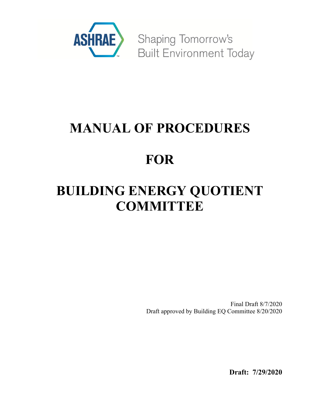

**Shaping Tomorrow's Built Environment Today** 

# **MANUAL OF PROCEDURES**

# **FOR**

# **BUILDING ENERGY QUOTIENT COMMITTEE**

Final Draft 8/7/2020 Draft approved by Building EQ Committee 8/20/2020

**Draft: 7/29/2020**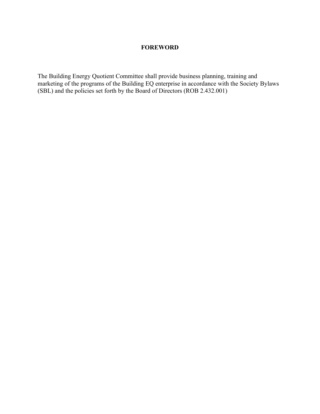# **FOREWORD**

The Building Energy Quotient Committee shall provide business planning, training and marketing of the programs of the Building EQ enterprise in accordance with the Society Bylaws (SBL) and the policies set forth by the Board of Directors (ROB 2.432.001)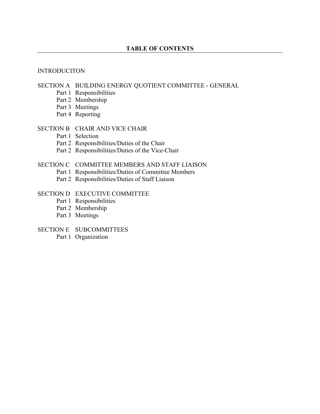#### INTRODUCITON

#### SECTION A BUILDING ENERGY QUOTIENT COMMITTEE - GENERAL

- Part 1 Responsibilities
- Part 2 Membership
- Part 3 Meetings
- Part 4 Reporting

#### SECTION B CHAIR AND VICE CHAIR

- Part 1 Selection
- Part 2 Responsibilities/Duties of the Chair
- Part 2 Responsibilities/Duties of the Vice-Chair

## SECTION C COMMITTEE MEMBERS AND STAFF LIAISON

- Part 1 Responsibilities/Duties of Committee Members
- Part 2 Responsibilities/Duties of Staff Liaison

# SECTION D EXECUTIVE COMMITTEE

- Part 1 Responsibilities
- Part 2 Membership
- Part 3 Meetings

#### SECTION E SUBCOMMITTEES

Part 1 Organization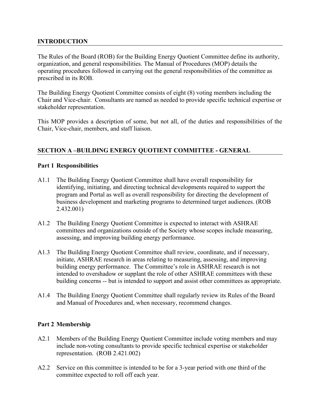# **INTRODUCTION**

The Rules of the Board (ROB) for the Building Energy Quotient Committee define its authority, organization, and general responsibilities. The Manual of Procedures (MOP) details the operating procedures followed in carrying out the general responsibilities of the committee as prescribed in its ROB.

The Building Energy Quotient Committee consists of eight (8) voting members including the Chair and Vice-chair. Consultants are named as needed to provide specific technical expertise or stakeholder representation.

This MOP provides a description of some, but not all, of the duties and responsibilities of the Chair, Vice-chair, members, and staff liaison.

# **SECTION A –BUILDING ENERGY QUOTIENT COMMITTEE - GENERAL**

### **Part 1 Responsibilities**

- A1.1 The Building Energy Quotient Committee shall have overall responsibility for identifying, initiating, and directing technical developments required to support the program and Portal as well as overall responsibility for directing the development of business development and marketing programs to determined target audiences. (ROB 2.432.001)
- A1.2 The Building Energy Quotient Committee is expected to interact with ASHRAE committees and organizations outside of the Society whose scopes include measuring, assessing, and improving building energy performance.
- A1.3 The Building Energy Quotient Committee shall review, coordinate, and if necessary, initiate, ASHRAE research in areas relating to measuring, assessing, and improving building energy performance. The Committee's role in ASHRAE research is not intended to overshadow or supplant the role of other ASHRAE committees with these building concerns -- but is intended to support and assist other committees as appropriate.
- A1.4 The Building Energy Quotient Committee shall regularly review its Rules of the Board and Manual of Procedures and, when necessary, recommend changes.

# **Part 2 Membership**

- A2.1 Members of the Building Energy Quotient Committee include voting members and may include non-voting consultants to provide specific technical expertise or stakeholder representation. (ROB 2.421.002)
- A2.2 Service on this committee is intended to be for a 3-year period with one third of the committee expected to roll off each year.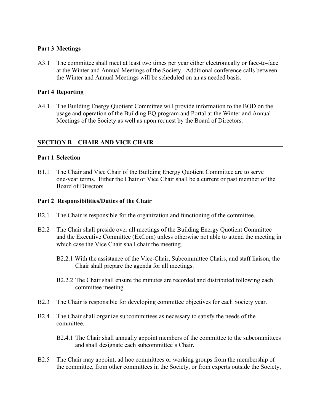### **Part 3 Meetings**

A3.1 The committee shall meet at least two times per year either electronically or face-to-face at the Winter and Annual Meetings of the Society. Additional conference calls between the Winter and Annual Meetings will be scheduled on an as needed basis.

## **Part 4 Reporting**

A4.1 The Building Energy Quotient Committee will provide information to the BOD on the usage and operation of the Building EQ program and Portal at the Winter and Annual Meetings of the Society as well as upon request by the Board of Directors.

# **SECTION B – CHAIR AND VICE CHAIR**

#### **Part 1 Selection**

B1.1 The Chair and Vice Chair of the Building Energy Quotient Committee are to serve one-year terms. Either the Chair or Vice Chair shall be a current or past member of the Board of Directors.

#### **Part 2 Responsibilities/Duties of the Chair**

- B2.1 The Chair is responsible for the organization and functioning of the committee.
- B2.2 The Chair shall preside over all meetings of the Building Energy Quotient Committee and the Executive Committee (ExCom) unless otherwise not able to attend the meeting in which case the Vice Chair shall chair the meeting.
	- B2.2.1 With the assistance of the Vice-Chair, Subcommittee Chairs, and staff liaison, the Chair shall prepare the agenda for all meetings.
	- B2.2.2 The Chair shall ensure the minutes are recorded and distributed following each committee meeting.
- B2.3 The Chair is responsible for developing committee objectives for each Society year.
- B2.4 The Chair shall organize subcommittees as necessary to satisfy the needs of the committee.
	- B2.4.1 The Chair shall annually appoint members of the committee to the subcommittees and shall designate each subcommittee's Chair.
- B2.5 The Chair may appoint, ad hoc committees or working groups from the membership of the committee, from other committees in the Society, or from experts outside the Society,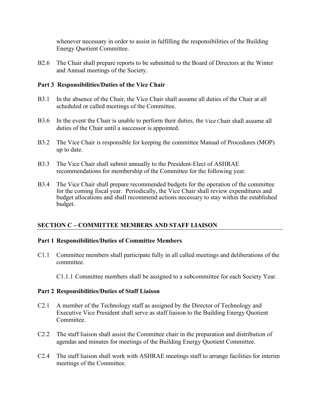whenever necessary in order to assist in fulfilling the responsibilities of the Building Energy Quotient Committee.

B2.6 The Chair shall prepare reports to be submitted to the Board of Directors at the Winter and Annual meetings of the Society.

### **Part 3 Responsibilities/Duties of the Vice Chair**

- B3.1 In the absence of the Chair, the Vice Chair shall assume all duties of the Chair at all scheduled or called meetings of the Committee.
- B3.6 In the event the Chair is unable to perform their duties, the Vice Chair shall assume all duties of the Chair until a successor is appointed.
- B3.2 The Vice Chair is responsible for keeping the committee Manual of Procedures (MOP) up to date.
- B3.3 The Vice Chair shall submit annually to the President-Elect of ASHRAE recommendations for membership of the Committee for the following year.
- B3.4 The Vice Chair shall prepare recommended budgets for the operation of the committee for the coming fiscal year. Periodically, the Vice Chair shall review expenditures and budget allocations and shall recommend actions necessary to stay within the established budget.

# **SECTION C – COMMITTEE MEMBERS AND STAFF LIAISON**

#### **Part 1 Responsibilities/Duties of Committee Members**

C1.1 Committee members shall participate fully in all called meetings and deliberations of the committee.

C1.1.1 Committee members shall be assigned to a subcommittee for each Society Year.

#### **Part 2 Responsibilities/Duties of Staff Liaison**

- C2.1 A member of the Technology staff as assigned by the Director of Technology and Executive Vice President shall serve as staff liaison to the Building Energy Quotient Committee.
- C2.2 The staff liaison shall assist the Committee chair in the preparation and distribution of agendas and minutes for meetings of the Building Energy Quotient Committee.
- C2.4 The staff liaison shall work with ASHRAE meetings staff to arrange facilities for interim meetings of the Committee.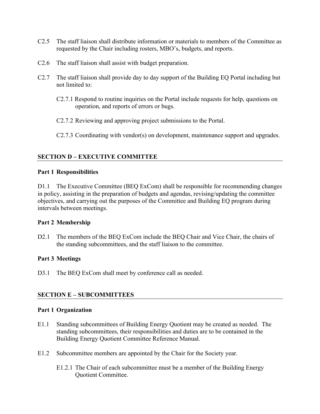- C2.5 The staff liaison shall distribute information or materials to members of the Committee as requested by the Chair including rosters, MBO's, budgets, and reports.
- C2.6 The staff liaison shall assist with budget preparation.
- C2.7 The staff liaison shall provide day to day support of the Building EQ Portal including but not limited to:
	- C2.7.1 Respond to routine inquiries on the Portal include requests for help, questions on operation, and reports of errors or bugs.
	- C2.7.2 Reviewing and approving project submissions to the Portal.
	- C2.7.3 Coordinating with vendor(s) on development, maintenance support and upgrades.

# **SECTION D – EXECUTIVE COMMITTEE**

#### **Part 1 Responsibilities**

D1.1 The Executive Committee (BEQ ExCom) shall be responsible for recommending changes in policy, assisting in the preparation of budgets and agendas, revising/updating the committee objectives, and carrying out the purposes of the Committee and Building EQ program during intervals between meetings.

#### **Part 2 Membership**

D2.1 The members of the BEQ ExCom include the BEQ Chair and Vice Chair, the chairs of the standing subcommittees, and the staff liaison to the committee.

# **Part 3 Meetings**

D3.1 The BEQ ExCom shall meet by conference call as needed.

# **SECTION E – SUBCOMMITTEES**

#### **Part 1 Organization**

- E1.1 Standing subcommittees of Building Energy Quotient may be created as needed. The standing subcommittees, their responsibilities and duties are to be contained in the Building Energy Quotient Committee Reference Manual.
- E1.2 Subcommittee members are appointed by the Chair for the Society year.
	- E1.2.1 The Chair of each subcommittee must be a member of the Building Energy Quotient Committee.